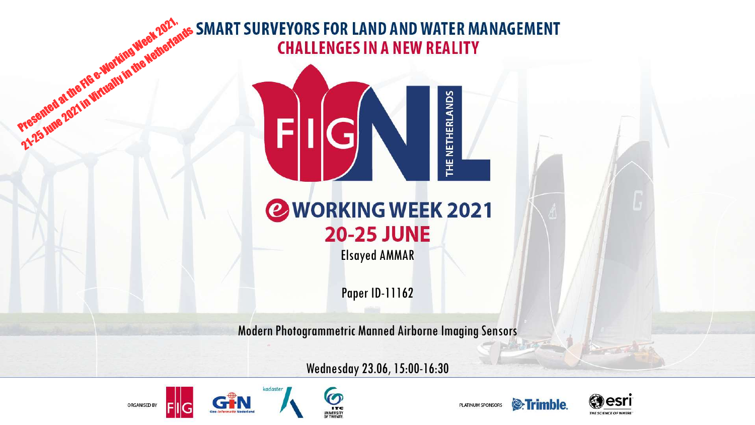# Presented at the FIG e-Working Week 2021, 21-25 June 2021 in Virtually in the Metherlands



Elsayed AMMAR

Paper ID-11162

Modern Photogrammetric Manned Airborne Imaging Sensors

Wednesday 23.06, 15:00-16:30







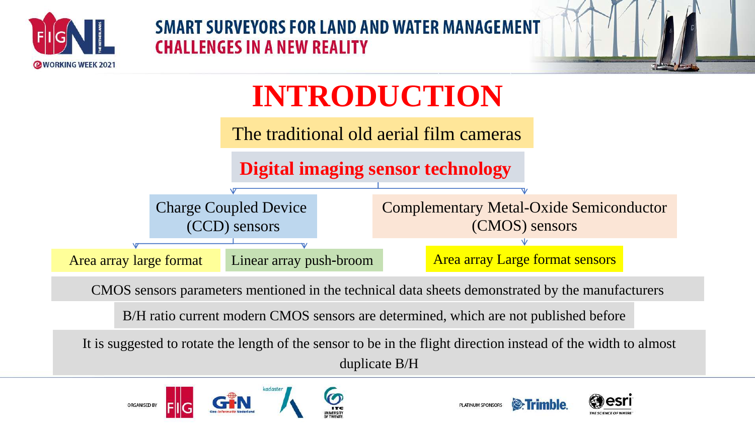



# **INTRODUCTION**

The traditional old aerial film cameras





CMOS sensors parameters mentioned in the technical data sheets demonstrated by the manufacturers

B/H ratio current modern CMOS sensors are determined, which are not published before

It is suggested to rotate the length of the sensor to be in the flight direction instead of the width to almost duplicate B/H





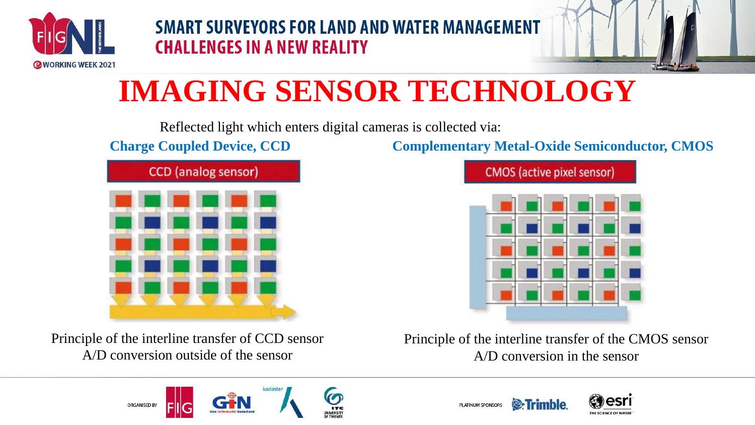



# **IMAGING SENSOR TECHNOLOGY**

Reflected light which enters digital cameras is collected via:



Principle of the interline transfer of CCD sensor A/D conversion outside of the sensor

**Charge Coupled Device, CCD Complementary Metal-Oxide Semiconductor, CMOS**



Principle of the interline transfer of the CMOS sensor A/D conversion in the sensor





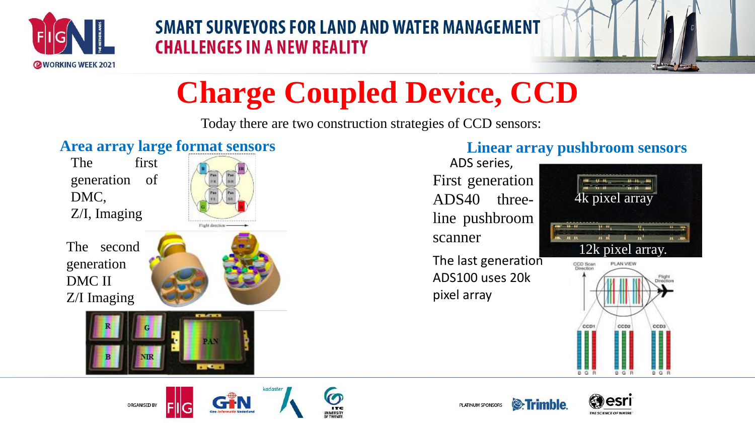



# **Charge Coupled Device, CCD**

Today there are two construction strategies of CCD sensors:

#### **Area array large format sensors**

The first generation of DMC, Z/I, Imaging



The second generation DMC II Z/I Imaging



**CHACHES** 

**TIME** 

#### **Linear array pushbroom sensors**

First generation ADS40 threeline pushbroom scanner ADS series,

The last generation ADS100 uses 20k pixel array









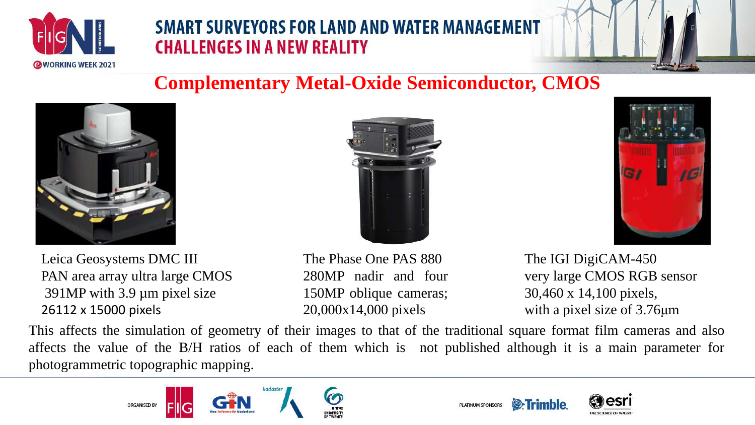



# **Complementary Metal-Oxide Semiconductor, CMOS**



Leica Geosystems DMC III PAN area array ultra large CMOS 391MP with 3.9 µm pixel size 26112 x 15000 pixels

![](_page_4_Picture_6.jpeg)

The Phase One PAS 880 280MP nadir and four 150MP oblique cameras; 20,000x14,000 pixels

![](_page_4_Picture_8.jpeg)

The IGI DigiCAM-450 very large CMOS RGB sensor 30,460 x 14,100 pixels, with a pixel size of 3.76μm

This affects the simulation of geometry of their images to that of the traditional square format film cameras and also affects the value of the B/H ratios of each of them which is not published although it is a main parameter for photogrammetric topographic mapping.

![](_page_4_Picture_11.jpeg)

![](_page_4_Picture_12.jpeg)

![](_page_4_Picture_13.jpeg)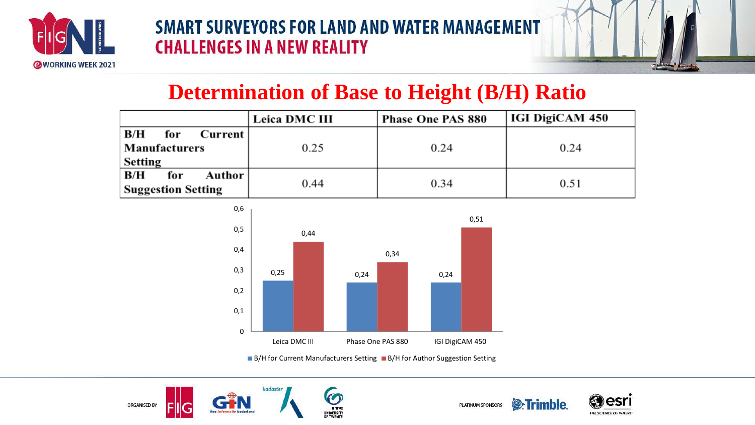![](_page_5_Picture_0.jpeg)

![](_page_5_Picture_2.jpeg)

# **Determination of Base to Height (B/H) Ratio**

|                                                     | <b>Leica DMC III</b> | <b>Phase One PAS 880</b> | <b>IGI DigiCAM 450</b> |
|-----------------------------------------------------|----------------------|--------------------------|------------------------|
| B/H<br>for<br>Current  <br>Manufacturers<br>Setting | 0.25                 | 0.24                     | 0.24                   |
| B/H<br>Author  <br>for<br><b>Suggestion Setting</b> | 0.44                 | 0.34                     | 0.51                   |

![](_page_5_Figure_5.jpeg)

■ B/H for Current Manufacturers Setting ■ B/H for Author Suggestion Setting

![](_page_5_Picture_7.jpeg)

![](_page_5_Picture_8.jpeg)

![](_page_5_Picture_9.jpeg)